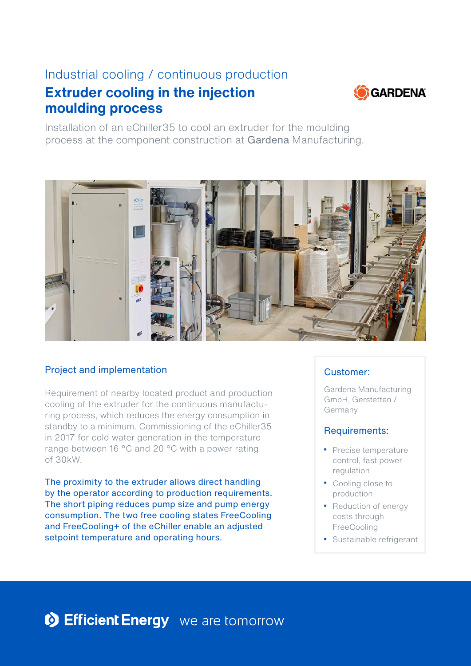# Industrial cooling / continuous production

# **Extruder cooling in the injection moulding process**



Installation of an eChiller35 to cool an extruder for the moulding process at the component construction at Gardena Manufacturing.



## Project and implementation

Requirement of nearby located product and production cooling of the extruder for the continuous manufacturing process, which reduces the energy consumption in standby to a minimum. Commissioning of the eChiller35 in 2017 for cold water generation in the temperature range between 16 °C and 20 °C with a power rating of 30kW.

The proximity to the extruder allows direct handling by the operator according to production requirements. The short piping reduces pump size and pump energy consumption. The two free cooling states FreeCooling and FreeCooling+ of the eChiller enable an adjusted setpoint temperature and operating hours.

## Customer:

Gardena Manufacturing GmbH, Gerstetten / Germany

#### Requirements:

- Precise temperature control, fast power regulation
- Cooling close to production
- Reduction of energy costs through **FreeCooling**
- Sustainable refrigerant